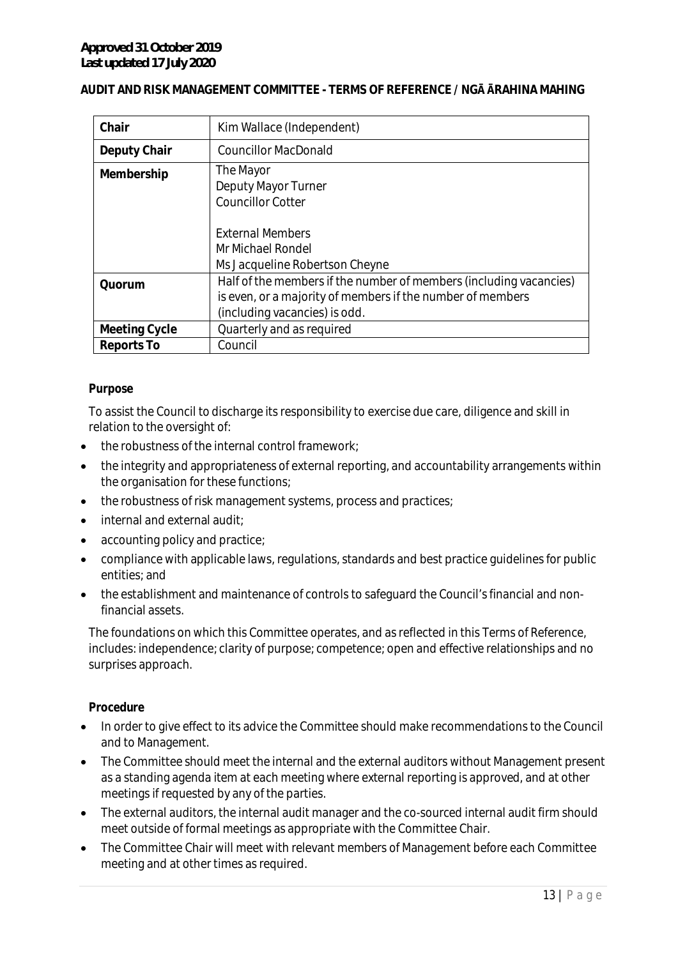#### **AUDIT AND RISK MANAGEMENT COMMITTEE - TERMS OF REFERENCE / NGĀ ĀRAHINA MAHING**

| Chair         | Kim Wallace (Independent)                                                                                                                                         |
|---------------|-------------------------------------------------------------------------------------------------------------------------------------------------------------------|
| Deputy Chair  | <b>Councillor MacDonald</b>                                                                                                                                       |
| Membership    | The Mayor<br>Deputy Mayor Turner<br><b>Councillor Cotter</b>                                                                                                      |
|               | <b>External Members</b><br>Mr Michael Rondel<br>Ms Jacqueline Robertson Cheyne                                                                                    |
| Quorum        | Half of the members if the number of members (including vacancies)<br>is even, or a majority of members if the number of members<br>(including vacancies) is odd. |
| Meeting Cycle | Quarterly and as required                                                                                                                                         |
| Reports To    | Council                                                                                                                                                           |

#### *Purpose*

To assist the Council to discharge its responsibility to exercise due care, diligence and skill in relation to the oversight of:

- the robustness of the internal control framework;
- the integrity and appropriateness of external reporting, and accountability arrangements within the organisation for these functions;
- the robustness of risk management systems, process and practices;
- internal and external audit:
- accounting policy and practice;
- compliance with applicable laws, regulations, standards and best practice guidelines for public entities; and
- the establishment and maintenance of controls to safeguard the Council's financial and nonfinancial assets.

The foundations on which this Committee operates, and as reflected in this Terms of Reference, includes: independence; clarity of purpose; competence; open and effective relationships and no surprises approach.

#### *Procedure*

- In order to give effect to its advice the Committee should make recommendations to the Council and to Management.
- The Committee should meet the internal and the external auditors without Management present as a standing agenda item at each meeting where external reporting is approved, and at other meetings if requested by any of the parties.
- The external auditors, the internal audit manager and the co-sourced internal audit firm should meet outside of formal meetings as appropriate with the Committee Chair.
- The Committee Chair will meet with relevant members of Management before each Committee meeting and at other times as required.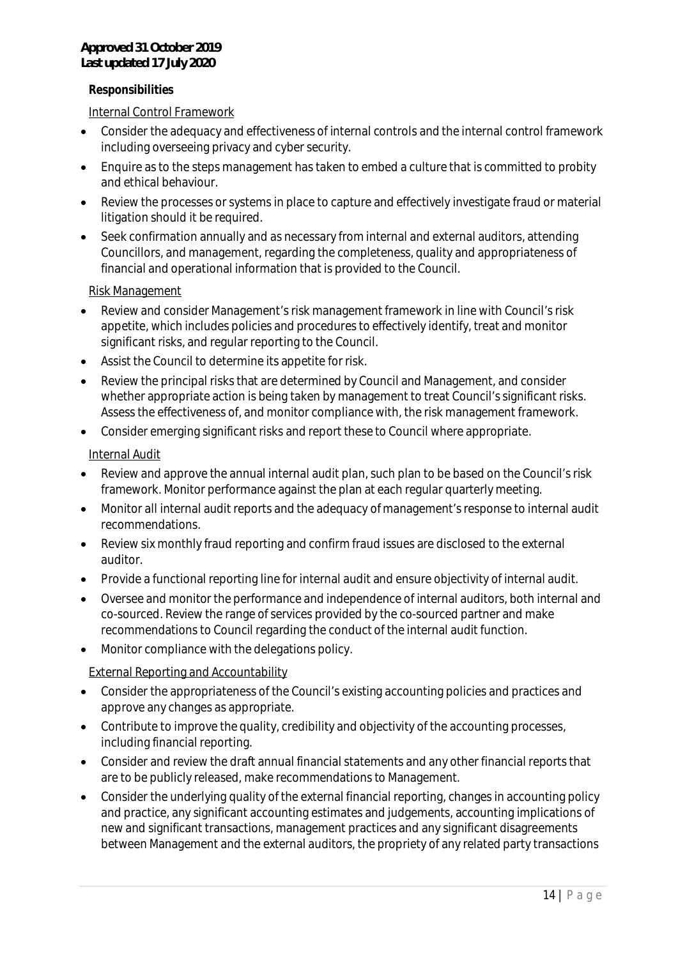#### *Responsibilities*

Internal Control Framework

- Consider the adequacy and effectiveness of internal controls and the internal control framework including overseeing privacy and cyber security.
- Enquire as to the steps management has taken to embed a culture that is committed to probity and ethical behaviour.
- Review the processes or systems in place to capture and effectively investigate fraud or material litigation should it be required.
- Seek confirmation annually and as necessary from internal and external auditors, attending Councillors, and management, regarding the completeness, quality and appropriateness of financial and operational information that is provided to the Council.

#### Risk Management

- Review and consider Management's risk management framework in line with Council's risk appetite, which includes policies and procedures to effectively identify, treat and monitor significant risks, and regular reporting to the Council.
- Assist the Council to determine its appetite for risk.
- Review the principal risks that are determined by Council and Management, and consider whether appropriate action is being taken by management to treat Council's significant risks. Assess the effectiveness of, and monitor compliance with, the risk management framework.
- Consider emerging significant risks and report these to Council where appropriate.

### Internal Audit

- Review and approve the annual internal audit plan, such plan to be based on the Council's risk framework. Monitor performance against the plan at each regular quarterly meeting.
- Monitor all internal audit reports and the adequacy of management's response to internal audit recommendations.
- Review six monthly fraud reporting and confirm fraud issues are disclosed to the external auditor.
- Provide a functional reporting line for internal audit and ensure objectivity of internal audit.
- Oversee and monitor the performance and independence of internal auditors, both internal and co-sourced. Review the range of services provided by the co-sourced partner and make recommendations to Council regarding the conduct of the internal audit function.
- Monitor compliance with the delegations policy.

## External Reporting and Accountability

- Consider the appropriateness of the Council's existing accounting policies and practices and approve any changes as appropriate.
- Contribute to improve the quality, credibility and objectivity of the accounting processes, including financial reporting.
- Consider and review the draft annual financial statements and any other financial reports that are to be publicly released, make recommendations to Management.
- Consider the underlying quality of the external financial reporting, changes in accounting policy and practice, any significant accounting estimates and judgements, accounting implications of new and significant transactions, management practices and any significant disagreements between Management and the external auditors, the propriety of any related party transactions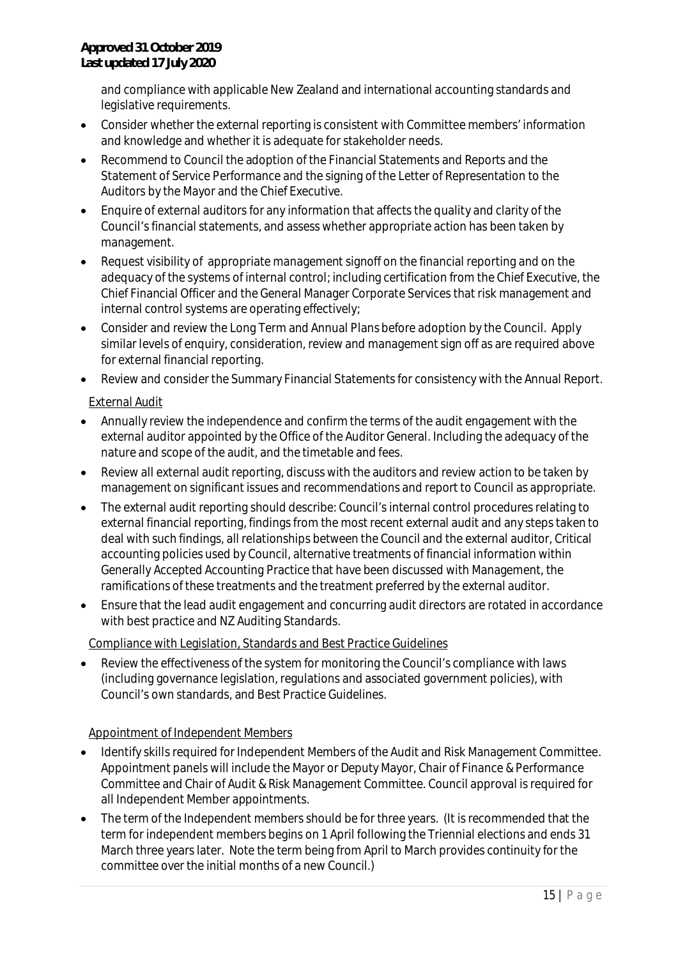and compliance with applicable New Zealand and international accounting standards and legislative requirements.

- Consider whether the external reporting is consistent with Committee members' information and knowledge and whether it is adequate for stakeholder needs.
- Recommend to Council the adoption of the Financial Statements and Reports and the Statement of Service Performance and the signing of the Letter of Representation to the Auditors by the Mayor and the Chief Executive.
- Enquire of external auditors for any information that affects the quality and clarity of the Council's financial statements, and assess whether appropriate action has been taken by management.
- Request visibility of appropriate management signoff on the financial reporting and on the adequacy of the systems of internal control; including certification from the Chief Executive, the Chief Financial Officer and the General Manager Corporate Services that risk management and internal control systems are operating effectively;
- Consider and review the Long Term and Annual Plans before adoption by the Council. Apply similar levels of enquiry, consideration, review and management sign off as are required above for external financial reporting.
- Review and consider the Summary Financial Statements for consistency with the Annual Report.

External Audit

- Annually review the independence and confirm the terms of the audit engagement with the external auditor appointed by the Office of the Auditor General. Including the adequacy of the nature and scope of the audit, and the timetable and fees.
- Review all external audit reporting, discuss with the auditors and review action to be taken by management on significant issues and recommendations and report to Council as appropriate.
- The external audit reporting should describe: Council's internal control procedures relating to external financial reporting, findings from the most recent external audit and any steps taken to deal with such findings, all relationships between the Council and the external auditor, Critical accounting policies used by Council, alternative treatments of financial information within Generally Accepted Accounting Practice that have been discussed with Management, the ramifications of these treatments and the treatment preferred by the external auditor.
- Ensure that the lead audit engagement and concurring audit directors are rotated in accordance with best practice and NZ Auditing Standards.

Compliance with Legislation, Standards and Best Practice Guidelines

 Review the effectiveness of the system for monitoring the Council's compliance with laws (including governance legislation, regulations and associated government policies), with Council's own standards, and Best Practice Guidelines.

# Appointment of Independent Members

- Identify skills required for Independent Members of the Audit and Risk Management Committee. Appointment panels will include the Mayor or Deputy Mayor, Chair of Finance & Performance Committee and Chair of Audit & Risk Management Committee. Council approval is required for all Independent Member appointments.
- The term of the Independent members should be for three years. (It is recommended that the term for independent members begins on 1 April following the Triennial elections and ends 31 March three years later. Note the term being from April to March provides continuity for the committee over the initial months of a new Council.)